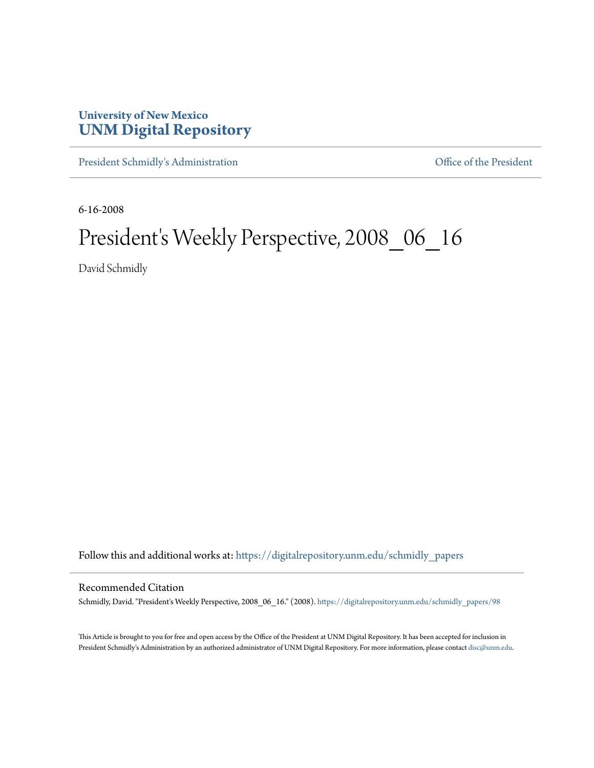## **University of New Mexico [UNM Digital Repository](https://digitalrepository.unm.edu?utm_source=digitalrepository.unm.edu%2Fschmidly_papers%2F98&utm_medium=PDF&utm_campaign=PDFCoverPages)**

[President Schmidly's Administration](https://digitalrepository.unm.edu/schmidly_papers?utm_source=digitalrepository.unm.edu%2Fschmidly_papers%2F98&utm_medium=PDF&utm_campaign=PDFCoverPages) [Office of the President](https://digitalrepository.unm.edu/ofc_president?utm_source=digitalrepository.unm.edu%2Fschmidly_papers%2F98&utm_medium=PDF&utm_campaign=PDFCoverPages)

6-16-2008

## President's Weekly Perspective, 2008\_06\_16

David Schmidly

Follow this and additional works at: [https://digitalrepository.unm.edu/schmidly\\_papers](https://digitalrepository.unm.edu/schmidly_papers?utm_source=digitalrepository.unm.edu%2Fschmidly_papers%2F98&utm_medium=PDF&utm_campaign=PDFCoverPages)

## Recommended Citation

Schmidly, David. "President's Weekly Perspective, 2008\_06\_16." (2008). [https://digitalrepository.unm.edu/schmidly\\_papers/98](https://digitalrepository.unm.edu/schmidly_papers/98?utm_source=digitalrepository.unm.edu%2Fschmidly_papers%2F98&utm_medium=PDF&utm_campaign=PDFCoverPages)

This Article is brought to you for free and open access by the Office of the President at UNM Digital Repository. It has been accepted for inclusion in President Schmidly's Administration by an authorized administrator of UNM Digital Repository. For more information, please contact [disc@unm.edu](mailto:disc@unm.edu).